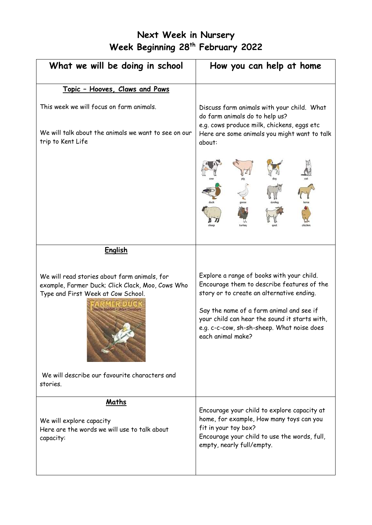# **Next Week in Nursery Week Beginning 28th February 2022**

| What we will be doing in school                                                                                                                                                                     | How you can help at home                                                                                                                                                                                                                                                                             |
|-----------------------------------------------------------------------------------------------------------------------------------------------------------------------------------------------------|------------------------------------------------------------------------------------------------------------------------------------------------------------------------------------------------------------------------------------------------------------------------------------------------------|
| Topic - Hooves, Claws and Paws                                                                                                                                                                      |                                                                                                                                                                                                                                                                                                      |
| This week we will focus on farm animals.<br>We will talk about the animals we want to see on our<br>trip to Kent Life                                                                               | Discuss farm animals with your child. What<br>do farm animals do to help us?<br>e.g. cows produce milk, chickens, eggs etc<br>Here are some animals you might want to talk<br>about:                                                                                                                 |
|                                                                                                                                                                                                     |                                                                                                                                                                                                                                                                                                      |
| <b>English</b>                                                                                                                                                                                      |                                                                                                                                                                                                                                                                                                      |
| We will read stories about farm animals, for<br>example, Farmer Duck; Click Clack, Moo, Cows Who<br>Type and First Week at Cow School.<br>We will describe our favourite characters and<br>stories. | Explore a range of books with your child.<br>Encourage them to describe features of the<br>story or to create an alternative ending.<br>Say the name of a farm animal and see if<br>your child can hear the sound it starts with,<br>e.g. c-c-cow, sh-sh-sheep. What noise does<br>each animal make? |
| Maths<br>We will explore capacity<br>Here are the words we will use to talk about<br>capacity:                                                                                                      | Encourage your child to explore capacity at<br>home, for example, How many toys can you<br>fit in your toy box?<br>Encourage your child to use the words, full,<br>empty, nearly full/empty.                                                                                                         |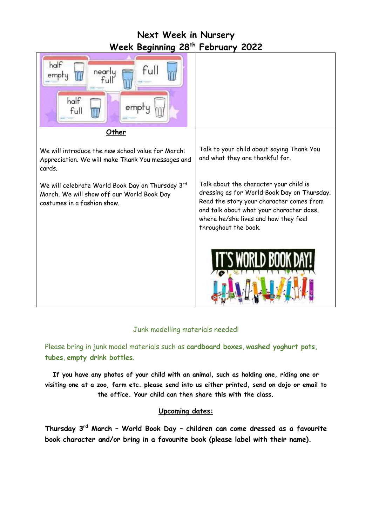### **Next Week in Nursery Week Beginning 28th February 2022**



#### Junk modelling materials needed!

Please bring in junk model materials such as **cardboard boxes**, **washed yoghurt pots, tubes**, **empty drink bottles**.

**If you have any photos of your child with an animal, such as holding one, riding one or visiting one at a zoo, farm etc. please send into us either printed, send on dojo or email to the office. Your child can then share this with the class.**

#### **Upcoming dates:**

**Thursday 3 rd March – World Book Day – children can come dressed as a favourite book character and/or bring in a favourite book (please label with their name).**